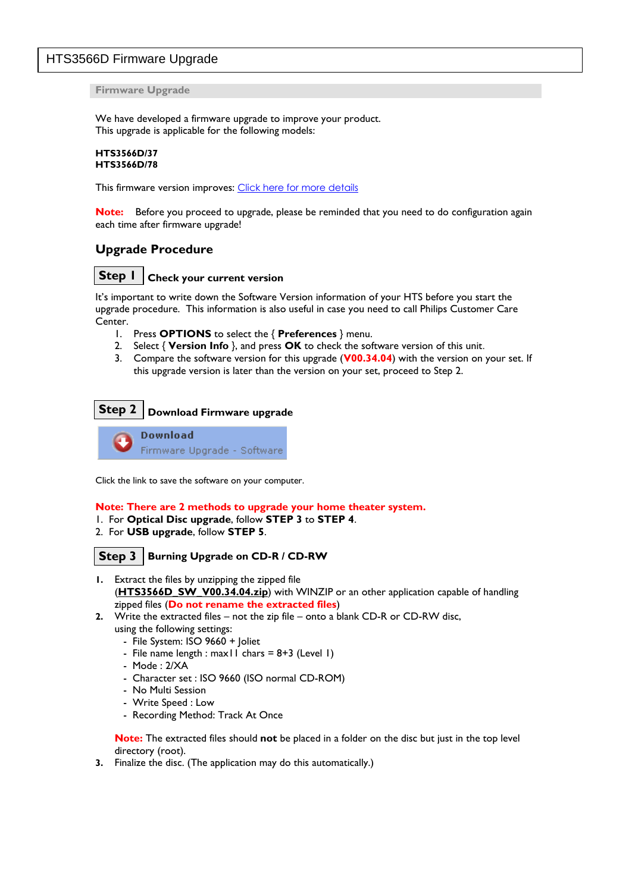# HTS3566D Firmware Upgrade

**Firmware Upgrade**

We have developed a firmware upgrade to improve your product. This upgrade is applicable for the following models:

#### **HTS3566D/37 HTS3566D/78**

This firmware version improves: [Click here for more details](#page-1-0)

**Note:** Before you proceed to upgrade, please be reminded that you need to do configuration again each time after firmware upgrade!

### **Upgrade Procedure**

## **Check your current version Step 1**

It's important to write down the Software Version information of your HTS before you start the upgrade procedure. This information is also useful in case you need to call Philips Customer Care Center.

- 1. Press **OPTIONS** to select the { **Preferences** } menu.
- 2. Select { **Version Info** }, and press **OK** to check the software version of this unit.
- 3. Compare the software version for this upgrade (**V00.34.04**) with the version on your set. If this upgrade version is later than the version on your set, proceed to Step 2.

#### **Download Firmware upgrade Step 2**

**Download** Firmware Upgrade - Software

Click the link to save the software on your computer.

#### **Note: There are 2 methods to upgrade your home theater system.**

- 1. For **Optical Disc upgrade**, follow **STEP 3** to **STEP 4**.
- 2. For **USB upgrade**, follow **STEP 5**.

## $\textsf{Step 3} \mid \textsf{Burning}\ \textsf{Upgrade}$  on CD-R / CD-RW

- **1.** Extract the files by unzipping the zipped file (**HTS3566D\_SW\_V00.34.04.zip**) with WINZIP or an other application capable of handling zipped files (**Do not rename the extracted files**)
- **2.** Write the extracted files not the zip file onto a blank CD-R or CD-RW disc,
	- using the following settings:
		- File System: ISO 9660 + Joliet
		- File name length : max11 chars =  $8+3$  (Level 1)
		- Mode : 2/XA
		- Character set : ISO 9660 (ISO normal CD-ROM)
		- No Multi Session
		- Write Speed : Low
		- Recording Method: Track At Once

**Note:** The extracted files should **not** be placed in a folder on the disc but just in the top level directory (root).

**3.** Finalize the disc. (The application may do this automatically.)